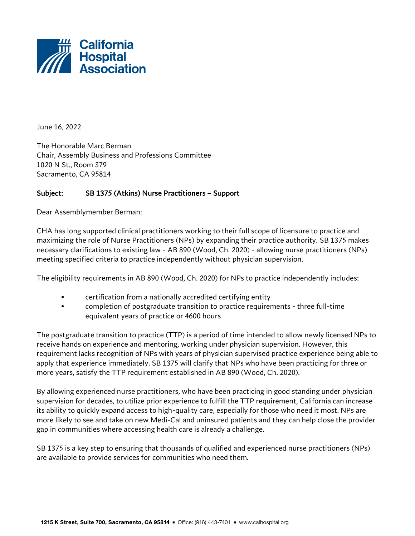

June 16, 2022

The Honorable Marc Berman Chair, Assembly Business and Professions Committee 1020 N St., Room 379 Sacramento, CA 95814

## Subject: SB 1375 (Atkins) Nurse Practitioners – Support

Dear Assemblymember Berman:

CHA has long supported clinical practitioners working to their full scope of licensure to practice and maximizing the role of Nurse Practitioners (NPs) by expanding their practice authority. SB 1375 makes necessary clarifications to existing law - AB 890 (Wood, Ch. 2020) - allowing nurse practitioners (NPs) meeting specified criteria to practice independently without physician supervision.

The eligibility requirements in AB 890 (Wood, Ch. 2020) for NPs to practice independently includes:

- certification from a nationally accredited certifying entity
- completion of postgraduate transition to practice requirements three full-time equivalent years of practice or 4600 hours

The postgraduate transition to practice (TTP) is a period of time intended to allow newly licensed NPs to receive hands on experience and mentoring, working under physician supervision. However, this requirement lacks recognition of NPs with years of physician supervised practice experience being able to apply that experience immediately. SB 1375 will clarify that NPs who have been practicing for three or more years, satisfy the TTP requirement established in AB 890 (Wood, Ch. 2020).

By allowing experienced nurse practitioners, who have been practicing in good standing under physician supervision for decades, to utilize prior experience to fulfill the TTP requirement, California can increase its ability to quickly expand access to high-quality care, especially for those who need it most. NPs are more likely to see and take on new Medi-Cal and uninsured patients and they can help close the provider gap in communities where accessing health care is already a challenge.

SB 1375 is a key step to ensuring that thousands of qualified and experienced nurse practitioners (NPs) are available to provide services for communities who need them.